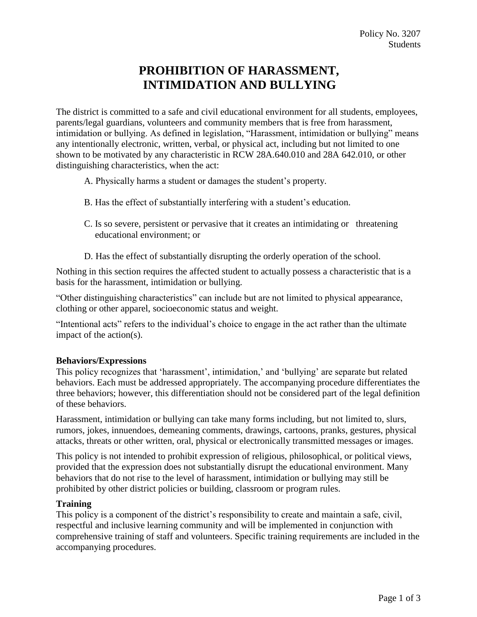# **PROHIBITION OF HARASSMENT, INTIMIDATION AND BULLYING**

The district is committed to a safe and civil educational environment for all students, employees, parents/legal guardians, volunteers and community members that is free from harassment, intimidation or bullying. As defined in legislation, "Harassment, intimidation or bullying" means any intentionally electronic, written, verbal, or physical act, including but not limited to one shown to be motivated by any characteristic in RCW 28A.640.010 and 28A 642.010, or other distinguishing characteristics, when the act:

- A. Physically harms a student or damages the student's property.
- B. Has the effect of substantially interfering with a student's education.
- C. Is so severe, persistent or pervasive that it creates an intimidating or threatening educational environment; or
- D. Has the effect of substantially disrupting the orderly operation of the school.

Nothing in this section requires the affected student to actually possess a characteristic that is a basis for the harassment, intimidation or bullying.

"Other distinguishing characteristics" can include but are not limited to physical appearance, clothing or other apparel, socioeconomic status and weight.

"Intentional acts" refers to the individual's choice to engage in the act rather than the ultimate impact of the action(s).

# **Behaviors/Expressions**

This policy recognizes that 'harassment', intimidation,' and 'bullying' are separate but related behaviors. Each must be addressed appropriately. The accompanying procedure differentiates the three behaviors; however, this differentiation should not be considered part of the legal definition of these behaviors.

Harassment, intimidation or bullying can take many forms including, but not limited to, slurs, rumors, jokes, innuendoes, demeaning comments, drawings, cartoons, pranks, gestures, physical attacks, threats or other written, oral, physical or electronically transmitted messages or images.

This policy is not intended to prohibit expression of religious, philosophical, or political views, provided that the expression does not substantially disrupt the educational environment. Many behaviors that do not rise to the level of harassment, intimidation or bullying may still be prohibited by other district policies or building, classroom or program rules.

#### **Training**

This policy is a component of the district's responsibility to create and maintain a safe, civil, respectful and inclusive learning community and will be implemented in conjunction with comprehensive training of staff and volunteers. Specific training requirements are included in the accompanying procedures.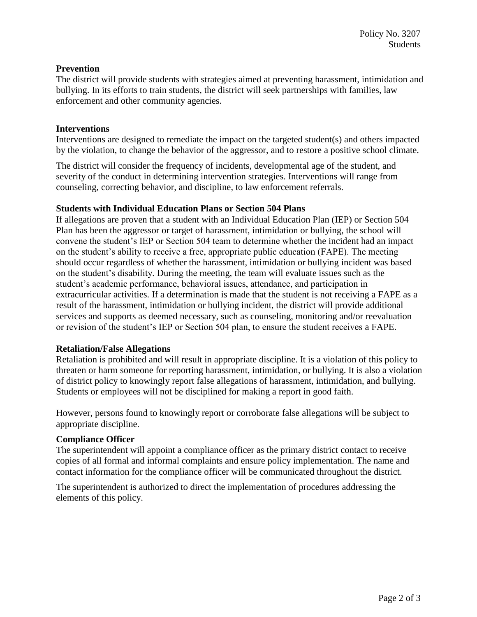# **Prevention**

The district will provide students with strategies aimed at preventing harassment, intimidation and bullying. In its efforts to train students, the district will seek partnerships with families, law enforcement and other community agencies.

## **Interventions**

Interventions are designed to remediate the impact on the targeted student(s) and others impacted by the violation, to change the behavior of the aggressor, and to restore a positive school climate.

The district will consider the frequency of incidents, developmental age of the student, and severity of the conduct in determining intervention strategies. Interventions will range from counseling, correcting behavior, and discipline, to law enforcement referrals.

## **Students with Individual Education Plans or Section 504 Plans**

If allegations are proven that a student with an Individual Education Plan (IEP) or Section 504 Plan has been the aggressor or target of harassment, intimidation or bullying, the school will convene the student's IEP or Section 504 team to determine whether the incident had an impact on the student's ability to receive a free, appropriate public education (FAPE). The meeting should occur regardless of whether the harassment, intimidation or bullying incident was based on the student's disability. During the meeting, the team will evaluate issues such as the student's academic performance, behavioral issues, attendance, and participation in extracurricular activities. If a determination is made that the student is not receiving a FAPE as a result of the harassment, intimidation or bullying incident, the district will provide additional services and supports as deemed necessary, such as counseling, monitoring and/or reevaluation or revision of the student's IEP or Section 504 plan, to ensure the student receives a FAPE.

#### **Retaliation/False Allegations**

Retaliation is prohibited and will result in appropriate discipline. It is a violation of this policy to threaten or harm someone for reporting harassment, intimidation, or bullying. It is also a violation of district policy to knowingly report false allegations of harassment, intimidation, and bullying. Students or employees will not be disciplined for making a report in good faith.

However, persons found to knowingly report or corroborate false allegations will be subject to appropriate discipline.

# **Compliance Officer**

The superintendent will appoint a compliance officer as the primary district contact to receive copies of all formal and informal complaints and ensure policy implementation. The name and contact information for the compliance officer will be communicated throughout the district.

The superintendent is authorized to direct the implementation of procedures addressing the elements of this policy.